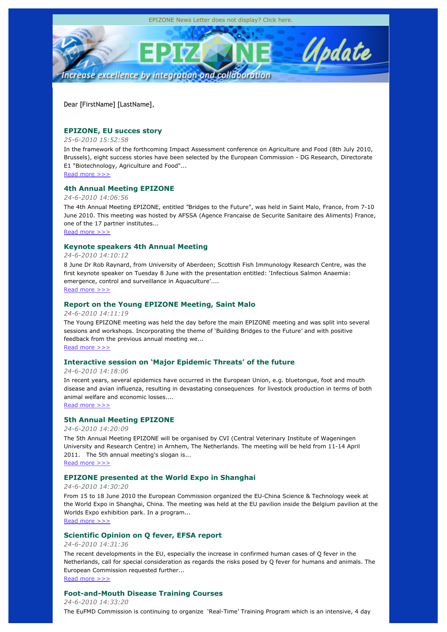

Dear [FirstName] [LastName],

# **EPIZONE, EU succes story**

# *25-6-2010 15:52:58*

In the framework of the forthcoming Impact Assessment conference on Agriculture and Food (8th July 2010, Brussels), eight success stories have been selected by the European Commission - DG Research, Directorate E1 "Biotechnology, Agriculture and Food"...

Read more >>>

# **4th Annual Meeting EPIZONE**

## *24-6-2010 14:06:56*

The 4th Annual Meeting EPIZONE, entitled "Bridges to the Future", was held in Saint Malo, France, from 7-10 June 2010. This meeting was hosted by AFSSA (Agence Francaise de Securite Sanitaire des Aliments) France, one of the 17 partner institutes...

Read more >>>

# **Keynote speakers 4th Annual Meeting**

## *24-6-2010 14:10:12*

8 June Dr Rob Raynard, from University of Aberdeen; Scottish Fish Immunology Research Centre, was the first keynote speaker on Tuesday 8 June with the presentation entitled: 'Infectious Salmon Anaemia: emergence, control and surveillance in Aquaculture'.... Read more >>>

# **Report on the Young EPIZONE Meeting, Saint Malo**

## *24-6-2010 14:11:19*

The Young EPIZONE meeting was held the day before the main EPIZONE meeting and was split into several sessions and workshops. Incorporating the theme of 'Building Bridges to the Future' and with positive feedback from the previous annual meeting we...

Read more >>>

# **Interactive session on 'Major Epidemic Threats' of the future**

### *24-6-2010 14:18:06*

In recent years, several epidemics have occurred in the European Union, e.g. bluetongue, foot and mouth disease and avian influenza, resulting in devastating consequences for livestock production in terms of both animal welfare and economic losses....

Read more >>>

# **5th Annual Meeting EPIZONE**

# *24-6-2010 14:20:09*

The 5th Annual Meeting EPIZONE will be organised by CVI (Central Veterinary Institute of Wageningen University and Research Centre) in Arnhem, The Netherlands. The meeting will be held from 11-14 April 2011. The 5th annual meeting's slogan is...

Read more >>>

# **EPIZONE presented at the World Expo in Shanghai**

## *24-6-2010 14:30:20*

From 15 to 18 June 2010 the European Commission organized the EU-China Science & Technology week at the World Expo in Shanghai, China. The meeting was held at the EU pavilion inside the Belgium pavilion at the Worlds Expo exhibition park. In a program...

Read more >>>

# **Scientific Opinion on Q fever, EFSA report**

# *24-6-2010 14:31:36*

The recent developments in the EU, especially the increase in confirmed human cases of Q fever in the Netherlands, call for special consideration as regards the risks posed by Q fever for humans and animals. The European Commission requested further...

Read more >>>

# **Foot-and-Mouth Disease Training Courses**

*24-6-2010 14:33:20*

The EuFMD Commission is continuing to organize 'Real-Time' Training Program which is an intensive, 4 day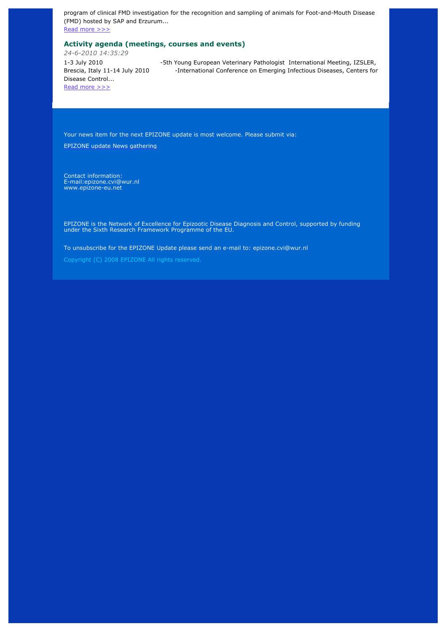program of clinical FMD investigation for the recognition and sampling of animals for Foot-and-Mouth Disease (FMD) hosted by SAP and Erzurum...

Read more >>>

# **Activity agenda (meetings, courses and events)**

*24-6-2010 14:35:29* 1-3 July 2010 -5th Young European Veterinary Pathologist International Meeting, IZSLER, Brescia, Italy 11-14 July 2010 - International Conference on Emerging Infectious Diseases, Centers for Disease Control... Read more >>>

Your news item for the next EPIZONE update is most welcome. Please submit via:

EPIZONE update News gathering

Contact information: E-mail:epizone.cvi@wur.nl www.epizone-eu.net

EPIZONE is the Network of Excellence for Epizootic Disease Diagnosis and Control, supported by funding under the Sixth Research Framework Programme of the EU.

To unsubscribe for the EPIZONE Update please send an e-mail to: epizone.cvi@wur.nl

Copyright (C) 2008 EPIZONE All rights reserved.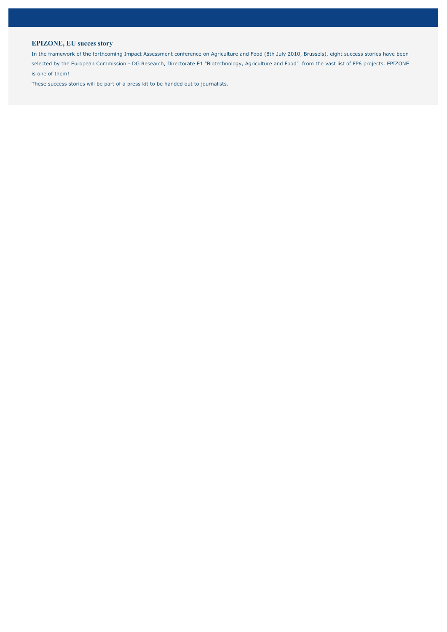# **EPIZONE, EU succes story**

In the framework of the forthcoming Impact Assessment conference on Agriculture and Food (8th July 2010, Brussels), eight success stories have been selected by the European Commission - DG Research, Directorate E1 "Biotechnology, Agriculture and Food" from the vast list of FP6 projects. EPIZONE is one of them!

These success stories will be part of a press kit to be handed out to journalists.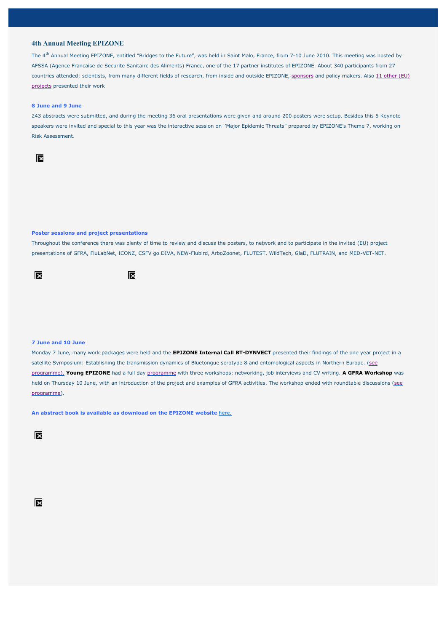### **4th Annual Meeting EPIZONE**

The 4th Annual Meeting EPIZONE, entitled "Bridges to the Future", was held in Saint Malo, France, from 7-10 June 2010. This meeting was hosted by AFSSA (Agence Francaise de Securite Sanitaire des Aliments) France, one of the 17 partner institutes of EPIZONE. About 340 participants from 27 countries attended; scientists, from many different fields of research, from inside and outside EPIZONE, sponsors and policy makers. Also 11 other (EU) projects presented their work

### **8 June and 9 June**

243 abstracts were submitted, and during the meeting 36 oral presentations were given and around 200 posters were setup. Besides this 5 Keynote speakers were invited and special to this year was the interactive session on ''Major Epidemic Threats" prepared by EPIZONE's Theme 7, working on Risk Assessment.



### **Poster sessions and project presentations**

Throughout the conference there was plenty of time to review and discuss the posters, to network and to participate in the invited (EU) project presentations of GFRA, FluLabNet, ICONZ, CSFV go DIVA, NEW-Flubird, ArboZoonet, FLUTEST, WildTech, GlaD, FLUTRAIN, and MED-VET-NET.





### **7 June and 10 June**

Monday 7 June, many work packages were held and the **EPIZONE Internal Call BT-DYNVECT** presented their findings of the one year project in a satellite Symposium: Establishing the transmission dynamics of Bluetongue serotype 8 and entomological aspects in Northern Europe. (see programme). **Young EPIZONE** had a full day programme with three workshops: networking, job interviews and CV writing. **A GFRA Workshop** was held on Thursday 10 June, with an introduction of the project and examples of GFRA activities. The workshop ended with roundtable discussions (see programme).

**An abstract book is available as download on the EPIZONE website** here.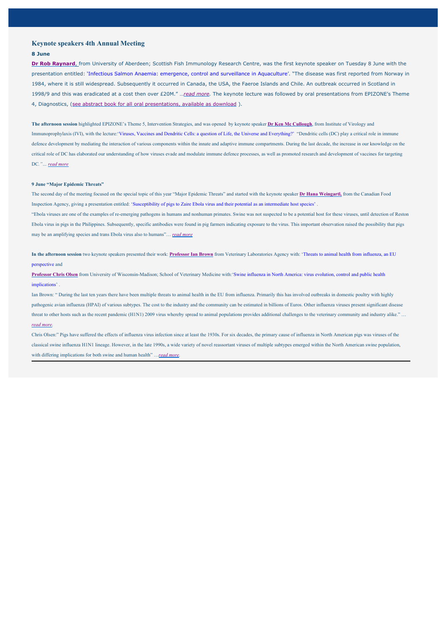### **Keynote speakers 4th Annual Meeting**

#### **8 June**

**Dr Rob Raynard**, from University of Aberdeen; Scottish Fish Immunology Research Centre, was the first keynote speaker on Tuesday 8 June with the presentation entitled: 'Infectious Salmon Anaemia: emergence, control and surveillance in Aquaculture'. "The disease was first reported from Norway in 1984, where it is still widespread. Subsequently it occurred in Canada, the USA, the Faeroe Islands and Chile. An outbreak occurred in Scotland in 1998/9 and this was eradicated at a cost then over £20M." …*read more.* The keynote lecture was followed by oral presentations from EPIZONE's Theme 4, Diagnostics, (see abstract book for all oral presentations, available as download ).

**The afternoon session** highlighted EPIZONE's Theme 5, Intervention Strategies, and was opened by keynote speaker **Dr Ken Mc Cullough**, from Institute of Virology and Immunoprophylaxis (IVI), with the lecture: 'Viruses, Vaccines and Dendritic Cells: a question of Life, the Universe and Everything?' "Dendritic cells (DC) play a critical role in immune defence development by mediating the interaction of various components within the innate and adaptive immune compartments. During the last decade, the increase in our knowledge on the critical role of DC has elaborated our understanding of how viruses evade and modulate immune defence processes, as well as promoted research and development of vaccines for targeting DC*."… read more*

#### **9 June "Major Epidemic Threats"**

The second day of the meeting focused on the special topic of this year "Major Epidemic Threats" and started with the keynote speaker **Dr Hana Weingartl,** from the Canadian Food Inspection Agency, giving a presentation entitled: 'Susceptibility of pigs to Zaire Ebola virus and their potential as an intermediate host species' . "Ebola viruses are one of the examples of re-emerging pathogens in humans and nonhuman primates. Swine was not suspected to be a potential host for these viruses, until detection of Reston Ebola virus in pigs in the Philippines. Subsequently, specific antibodies were found in pig farmers indicating exposure to the virus. This important observation raised the possibility that pigs may be an amplifying species and trans Ebola virus also to humans"… *read more*

**In the afternoon session** two keynote speakers presented their work: **Professor Ian Brown** from Veterinary Laboratories Agency with: 'Threats to animal health from influenza, an EU perspective and

**Professor Chris Olsen** from University of Wisconsin-Madison; School of Veterinary Medicine with:'Swine influenza in North America: virus evolution, control and public health implications' .

Ian Brown: "During the last ten years there have been multiple threats to animal health in the EU from influenza. Primarily this has involved outbreaks in domestic poultry with highly pathogenic avian influenza (HPAI) of various subtypes. The cost to the industry and the community can be estimated in billions of Euros. Other influenza viruses present significant disease threat to other hosts such as the recent pandemic (H1N1) 2009 virus whereby spread to animal populations provides additional challenges to the veterinary community and industry alike." ... *read more.*

Chris Olsen:" Pigs have suffered the effects of influenza virus infection since at least the 1930s. For six decades, the primary cause of influenza in North American pigs was viruses of the classical swine influenza H1N1 lineage. However, in the late 1990s, a wide variety of novel reassortant viruses of multiple subtypes emerged within the North American swine population, with differing implications for both swine and human health" …*read more.*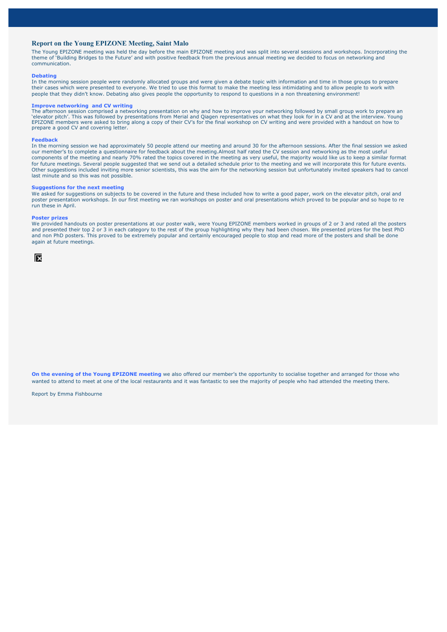### **Report on the Young EPIZONE Meeting, Saint Malo**

The Young EPIZONE meeting was held the day before the main EPIZONE meeting and was split into several sessions and workshops. Incorporating the theme of 'Building Bridges to the Future' and with positive feedback from the previous annual meeting we decided to focus on networking and communication.

### **Debating**

In the morning session people were randomly allocated groups and were given a debate topic with information and time in those groups to prepare their cases which were presented to everyone. We tried to use this format to make the meeting less intimidating and to allow people to work with people that they didn't know. Debating also gives people the opportunity to respond to questions in a non threatening environment!

#### **Improve networking and CV writing**

The afternoon session comprised a networking presentation on why and how to improve your networking followed by small group work to prepare an 'elevator pitch'. This was followed by presentations from Merial and Qiagen representatives on what they look for in a CV and at the interview. Young EPIZONE members were asked to bring along a copy of their CV's for the final workshop on CV writing and were provided with a handout on how to prepare a good CV and covering letter.

#### **Feedback**

In the morning session we had approximately 50 people attend our meeting and around 30 for the afternoon sessions. After the final session we asked our member's to complete a questionnaire for feedback about the meeting.Almost half rated the CV session and networking as the most useful components of the meeting and nearly 70% rated the topics covered in the meeting as very useful, the majority would like us to keep a similar format for future meetings. Several people suggested that we send out a detailed schedule prior to the meeting and we will incorporate this for future events. Other suggestions included inviting more senior scientists, this was the aim for the networking session but unfortunately invited speakers had to cancel last minute and so this was not possible.

#### **Suggestions for the next meeting**

We asked for suggestions on subjects to be covered in the future and these included how to write a good paper, work on the elevator pitch, oral and poster presentation workshops. In our first meeting we ran workshops on poster and oral presentations which proved to be popular and so hope to re run these in April.

#### **Poster prizes**

We provided handouts on poster presentations at our poster walk, were Young EPIZONE members worked in groups of 2 or 3 and rated all the posters and presented their top 2 or 3 in each category to the rest of the group highlighting why they had been chosen. We presented prizes for the best PhD and non PhD posters. This proved to be extremely popular and certainly encouraged people to stop and read more of the posters and shall be done again at future meetings.



**On the evening of the Young EPIZONE meeting** we also offered our member's the opportunity to socialise together and arranged for those who wanted to attend to meet at one of the local restaurants and it was fantastic to see the majority of people who had attended the meeting there.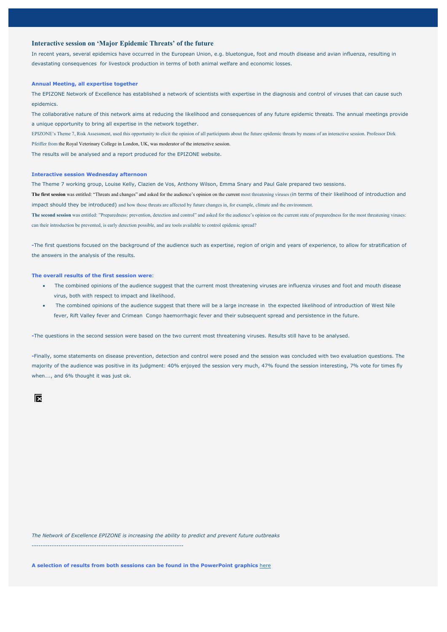### **Interactive session on 'Major Epidemic Threats' of the future**

In recent years, several epidemics have occurred in the European Union, e.g. bluetongue, foot and mouth disease and avian influenza, resulting in devastating consequences for livestock production in terms of both animal welfare and economic losses.

### **Annual Meeting, all expertise together**

The EPIZONE Network of Excellence has established a network of scientists with expertise in the diagnosis and control of viruses that can cause such epidemics.

The collaborative nature of this network aims at reducing the likelihood and consequences of any future epidemic threats. The annual meetings provide a unique opportunity to bring all expertise in the network together.

EPIZONE's Theme 7, Risk Assessment, used this opportunity to elicit the opinion of all participants about the future epidemic threats by means of an interactive session. Professor Dirk Pfeiffer from the Royal Veterinary College in London, UK, was moderator of the interactive session.

The results will be analysed and a report produced for the EPIZONE website.

#### **Interactive session Wednesday afternoon**

The Theme 7 working group, Louise Kelly, Clazien de Vos, Anthony Wilson, Emma Snary and Paul Gale prepared two sessions.

**The first session** was entitled: "Threats and changes" and asked for the audience's opinion on the current most threatening viruses (in terms of their likelihood of introduction and impact should they be introduced) and how those threats are affected by future changes in, for example, climate and the environment. The second session was entitled: "Preparedness: prevention, detection and control" and asked for the audience's opinion on the current state of preparedness for the most threatening viruses:

can their introduction be prevented, is early detection possible, and are tools available to control epidemic spread?

**-**The first questions focused on the background of the audience such as expertise, region of origin and years of experience, to allow for stratification of the answers in the analysis of the results.

### **The overall results of the first session were**:

- The combined opinions of the audience suggest that the current most threatening viruses are influenza viruses and foot and mouth disease virus, both with respect to impact and likelihood.
- The combined opinions of the audience suggest that there will be a large increase in the expected likelihood of introduction of West Nile fever, Rift Valley fever and Crimean Congo haemorrhagic fever and their subsequent spread and persistence in the future.

**-**The questions in the second session were based on the two current most threatening viruses. Results still have to be analysed.

**-**Finally, some statements on disease prevention, detection and control were posed and the session was concluded with two evaluation questions. The majority of the audience was positive in its judgment: 40% enjoyed the session very much, 47% found the session interesting, 7% vote for times fly when…., and 6% thought it was just ok.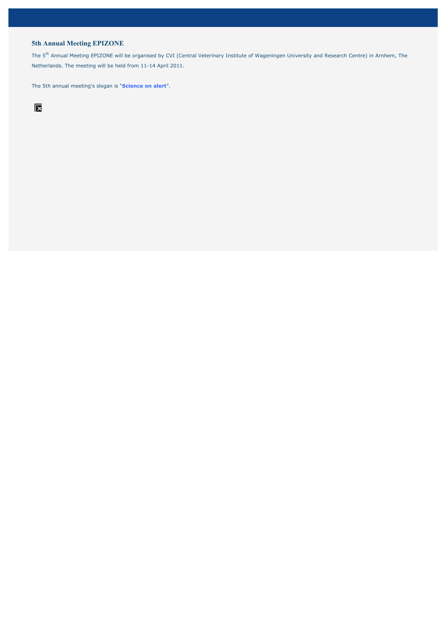## **5th Annual Meeting EPIZONE**

The 5<sup>th</sup> Annual Meeting EPIZONE will be organised by CVI (Central Veterinary Institute of Wageningen University and Research Centre) in Arnhem, The Netherlands. The meeting will be held from 11-14 April 2011.

The 5th annual meeting's slogan is "**Science on alert**".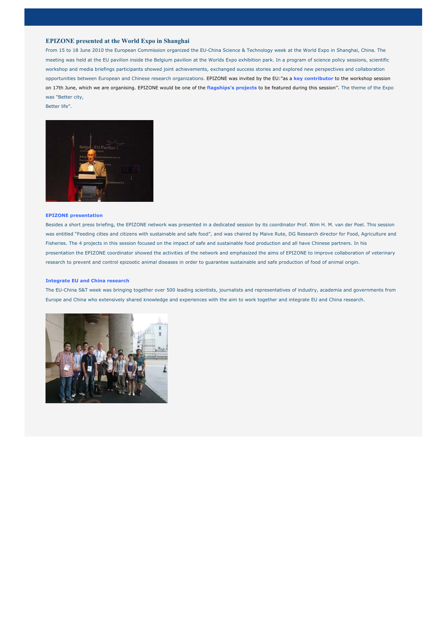### **EPIZONE presented at the World Expo in Shanghai**

From 15 to 18 June 2010 the European Commission organized the EU-China Science & Technology week at the World Expo in Shanghai, China. The meeting was held at the EU pavilion inside the Belgium pavilion at the Worlds Expo exhibition park. In a program of science policy sessions, scientific workshop and media briefings participants showed joint achievements, exchanged success stories and explored new perspectives and collaboration opportunities between European and Chinese research organizations. EPIZONE was invited by the EU:"as a **key contributor** to the workshop session on 17th June, which we are organising. EPIZONE would be one of the **flagships's projects** to be featured during this session''. The theme of the Expo was "Better city,

Better life".



#### **EPIZONE presentation**

Besides a short press briefing, the EPIZONE network was presented in a dedicated session by its coordinator Prof. Wim H. M. van der Poel. This session was entitled "Feeding cities and citizens with sustainable and safe food", and was chaired by Maive Rute, DG Research director for Food, Agriculture and Fisheries. The 4 projects in this session focused on the impact of safe and sustainable food production and all have Chinese partners. In his presentation the EPIZONE coordinator showed the activities of the network and emphasized the aims of EPIZONE to improve collaboration of veterinary research to prevent and control epizootic animal diseases in order to guarantee sustainable and safe production of food of animal origin.

#### **Integrate EU and China research**

The EU-China S&T week was bringing together over 500 leading scientists, journalists and representatives of industry, academia and governments from Europe and China who extensively shared knowledge and experiences with the aim to work together and integrate EU and China research.

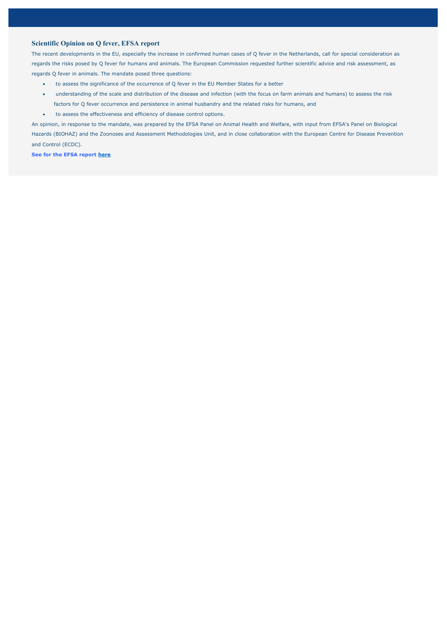## **Scientific Opinion on Q fever, EFSA report**

The recent developments in the EU, especially the increase in confirmed human cases of Q fever in the Netherlands, call for special consideration as regards the risks posed by Q fever for humans and animals. The European Commission requested further scientific advice and risk assessment, as regards Q fever in animals. The mandate posed three questions:

- x to assess the significance of the occurrence of Q fever in the EU Member States for a better
- x understanding of the scale and distribution of the disease and infection (with the focus on farm animals and humans) to assess the risk factors for Q fever occurrence and persistence in animal husbandry and the related risks for humans, and
- $\bullet$  to assess the effectiveness and efficiency of disease control options.

An opinion, in response to the mandate, was prepared by the EFSA Panel on Animal Health and Welfare, with input from EFSA's Panel on Biological Hazards (BIOHAZ) and the Zoonoses and Assessment Methodologies Unit, and in close collaboration with the European Centre for Disease Prevention and Control (ECDC).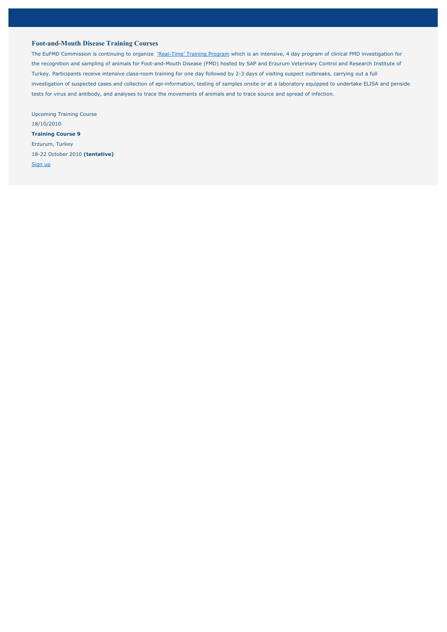## **Foot-and-Mouth Disease Training Courses**

The EuFMD Commission is continuing to organize 'Real-Time' Training Program which is an intensive, 4 day program of clinical FMD investigation for the recognition and sampling of animals for Foot-and-Mouth Disease (FMD) hosted by SAP and Erzurum Veterinary Control and Research Institute of Turkey. Participants receive intensive class-room training for one day followed by 2-3 days of visiting suspect outbreaks, carrying out a full investigation of suspected cases and collection of epi-information, testing of samples onsite or at a laboratory equipped to undertake ELISA and penside tests for virus and antibody, and analyses to trace the movements of animals and to trace source and spread of infection.

Upcoming Training Course 18/10/2010 **Training Course 9** Erzurum, Turkey 18-22 October 2010 **(tentative)**